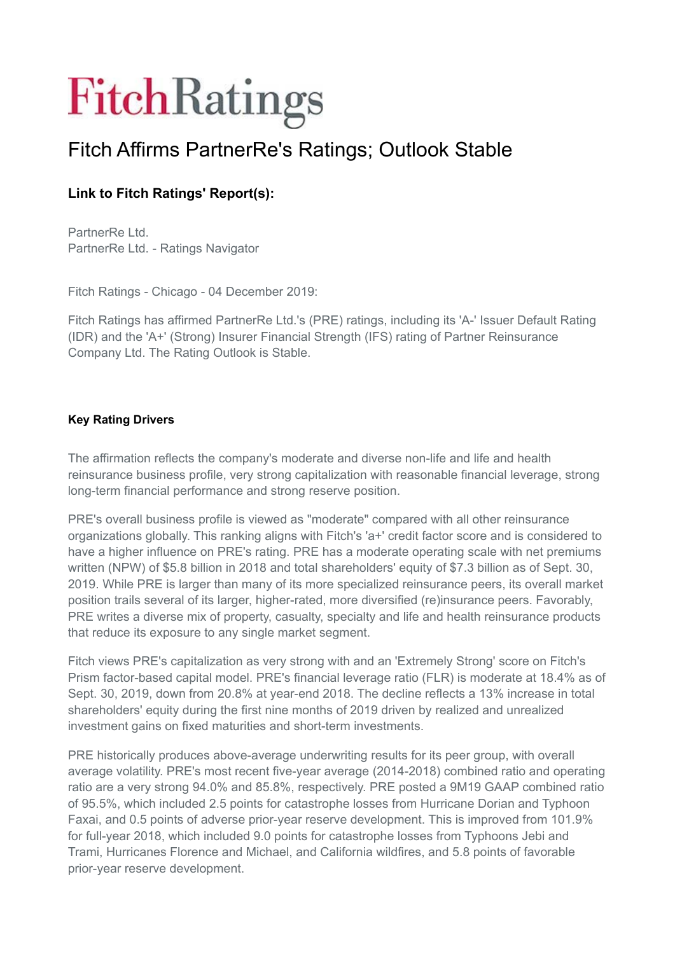# **FitchRatings**

# Fitch Affirms PartnerRe's Ratings; Outlook Stable

# **Link to Fitch Ratings' Report(s):**

PartnerRe Ltd. PartnerRe Ltd. - Ratings Navigator

Fitch Ratings - Chicago - 04 December 2019:

Fitch Ratings has affirmed PartnerRe Ltd.'s (PRE) ratings, including its 'A-' Issuer Default Rating (IDR) and the 'A+' (Strong) Insurer Financial Strength (IFS) rating of Partner Reinsurance Company Ltd. The Rating Outlook is Stable.

#### **Key Rating Drivers**

The affirmation reflects the company's moderate and diverse non-life and life and health reinsurance business profile, very strong capitalization with reasonable financial leverage, strong long-term financial performance and strong reserve position.

PRE's overall business profile is viewed as "moderate" compared with all other reinsurance organizations globally. This ranking aligns with Fitch's 'a+' credit factor score and is considered to have a higher influence on PRE's rating. PRE has a moderate operating scale with net premiums written (NPW) of \$5.8 billion in 2018 and total shareholders' equity of \$7.3 billion as of Sept. 30, 2019. While PRE is larger than many of its more specialized reinsurance peers, its overall market position trails several of its larger, higher-rated, more diversified (re)insurance peers. Favorably, PRE writes a diverse mix of property, casualty, specialty and life and health reinsurance products that reduce its exposure to any single market segment.

Fitch views PRE's capitalization as very strong with and an 'Extremely Strong' score on Fitch's Prism factor-based capital model. PRE's financial leverage ratio (FLR) is moderate at 18.4% as of Sept. 30, 2019, down from 20.8% at year-end 2018. The decline reflects a 13% increase in total shareholders' equity during the first nine months of 2019 driven by realized and unrealized investment gains on fixed maturities and short-term investments.

PRE historically produces above-average underwriting results for its peer group, with overall average volatility. PRE's most recent five-year average (2014-2018) combined ratio and operating ratio are a very strong 94.0% and 85.8%, respectively. PRE posted a 9M19 GAAP combined ratio of 95.5%, which included 2.5 points for catastrophe losses from Hurricane Dorian and Typhoon Faxai, and 0.5 points of adverse prior-year reserve development. This is improved from 101.9% for full-year 2018, which included 9.0 points for catastrophe losses from Typhoons Jebi and Trami, Hurricanes Florence and Michael, and California wildfires, and 5.8 points of favorable prior-year reserve development.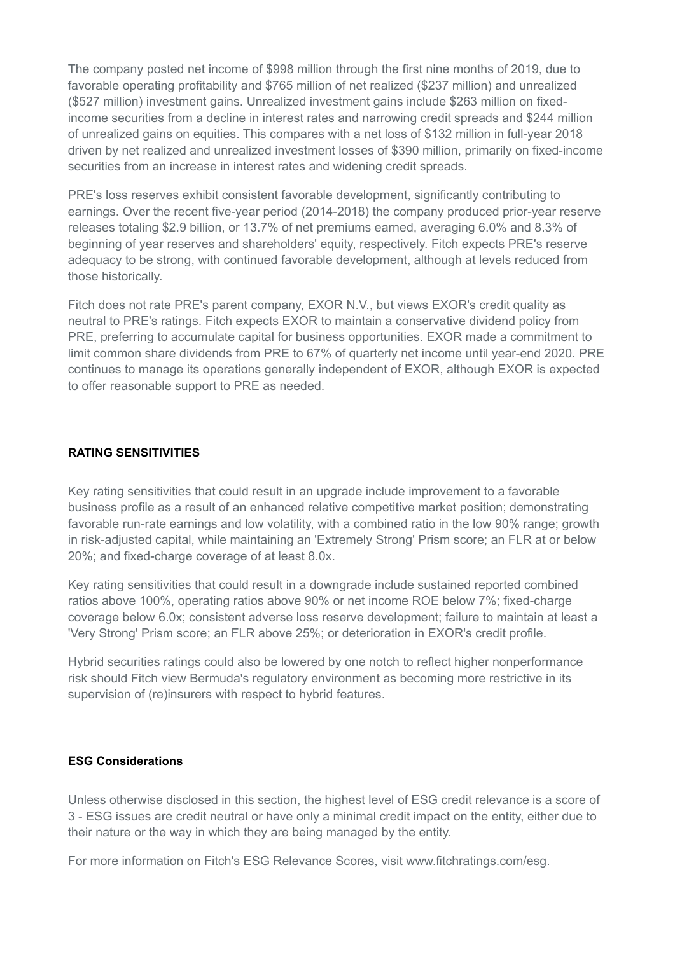The company posted net income of \$998 million through the first nine months of 2019, due to favorable operating profitability and \$765 million of net realized (\$237 million) and unrealized (\$527 million) investment gains. Unrealized investment gains include \$263 million on fixedincome securities from a decline in interest rates and narrowing credit spreads and \$244 million of unrealized gains on equities. This compares with a net loss of \$132 million in full-year 2018 driven by net realized and unrealized investment losses of \$390 million, primarily on fixed-income securities from an increase in interest rates and widening credit spreads.

PRE's loss reserves exhibit consistent favorable development, significantly contributing to earnings. Over the recent five-year period (2014-2018) the company produced prior-year reserve releases totaling \$2.9 billion, or 13.7% of net premiums earned, averaging 6.0% and 8.3% of beginning of year reserves and shareholders' equity, respectively. Fitch expects PRE's reserve adequacy to be strong, with continued favorable development, although at levels reduced from those historically.

Fitch does not rate PRE's parent company, EXOR N.V., but views EXOR's credit quality as neutral to PRE's ratings. Fitch expects EXOR to maintain a conservative dividend policy from PRE, preferring to accumulate capital for business opportunities. EXOR made a commitment to limit common share dividends from PRE to 67% of quarterly net income until year-end 2020. PRE continues to manage its operations generally independent of EXOR, although EXOR is expected to offer reasonable support to PRE as needed.

#### **RATING SENSITIVITIES**

Key rating sensitivities that could result in an upgrade include improvement to a favorable business profile as a result of an enhanced relative competitive market position; demonstrating favorable run-rate earnings and low volatility, with a combined ratio in the low 90% range; growth in risk-adjusted capital, while maintaining an 'Extremely Strong' Prism score; an FLR at or below 20%; and fixed-charge coverage of at least 8.0x.

Key rating sensitivities that could result in a downgrade include sustained reported combined ratios above 100%, operating ratios above 90% or net income ROE below 7%; fixed-charge coverage below 6.0x; consistent adverse loss reserve development; failure to maintain at least a 'Very Strong' Prism score; an FLR above 25%; or deterioration in EXOR's credit profile.

Hybrid securities ratings could also be lowered by one notch to reflect higher nonperformance risk should Fitch view Bermuda's regulatory environment as becoming more restrictive in its supervision of (re)insurers with respect to hybrid features.

#### **ESG Considerations**

Unless otherwise disclosed in this section, the highest level of ESG credit relevance is a score of 3 - ESG issues are credit neutral or have only a minimal credit impact on the entity, either due to their nature or the way in which they are being managed by the entity.

For more information on Fitch's ESG Relevance Scores, visit www.fitchratings.com/esg.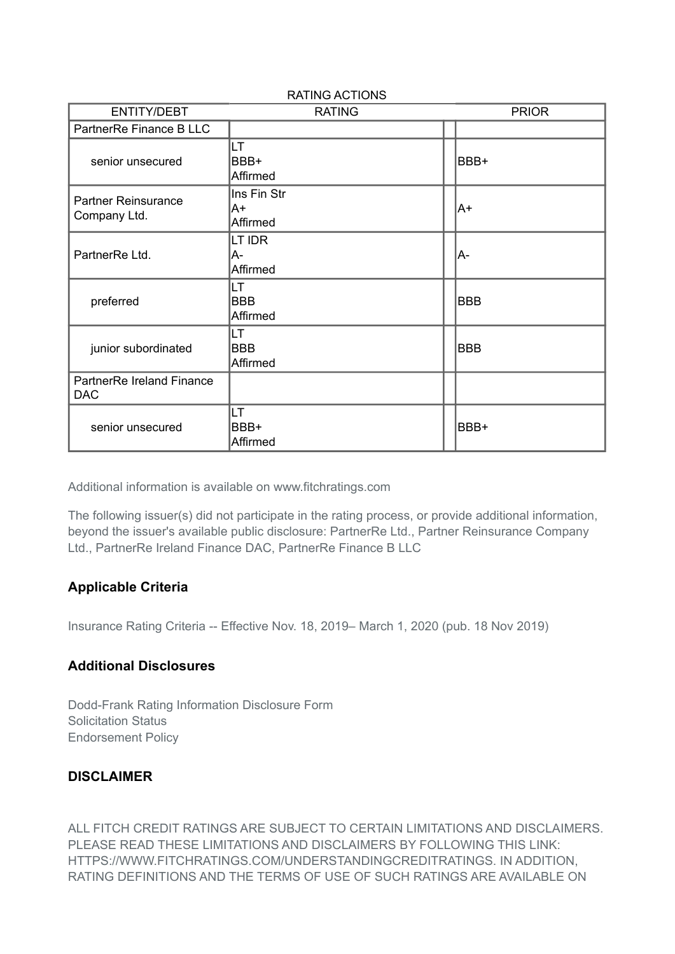| <b>RATING ACTIONS</b>                      |                                     |              |  |  |  |
|--------------------------------------------|-------------------------------------|--------------|--|--|--|
| ENTITY/DEBT                                | <b>RATING</b>                       | <b>PRIOR</b> |  |  |  |
| PartnerRe Finance B LLC                    |                                     |              |  |  |  |
| senior unsecured                           | <b>LT</b><br>BBB+<br>Affirmed       | BBB+         |  |  |  |
| <b>Partner Reinsurance</b><br>Company Ltd. | Ins Fin Str<br>A+<br>Affirmed       | A+           |  |  |  |
| PartnerRe Ltd.                             | LT IDR<br>A-<br>Affirmed            | A-           |  |  |  |
| preferred                                  | LT<br><b>BBB</b><br>Affirmed        | BBB          |  |  |  |
| junior subordinated                        | <b>LT</b><br><b>BBB</b><br>Affirmed | BBB          |  |  |  |
| PartnerRe Ireland Finance<br><b>DAC</b>    |                                     |              |  |  |  |
| senior unsecured                           | <b>LT</b><br>BBB+<br>Affirmed       | BBB+         |  |  |  |

Additional information is available on www.fitchratings.com

The following issuer(s) did not participate in the rating process, or provide additional information, beyond the issuer's available public disclosure: PartnerRe Ltd., Partner Reinsurance Company Ltd., PartnerRe Ireland Finance DAC, PartnerRe Finance B LLC

### **Applicable Criteria**

Insurance Rating Criteria -- Effective Nov. 18, 2019– March 1, 2020 (pub. 18 Nov 2019)

### **Additional Disclosures**

Dodd-Frank Rating Information Disclosure Form Solicitation Status Endorsement Policy

#### **DISCLAIMER**

ALL FITCH CREDIT RATINGS ARE SUBJECT TO CERTAIN LIMITATIONS AND DISCLAIMERS. PLEASE READ THESE LIMITATIONS AND DISCLAIMERS BY FOLLOWING THIS LINK: HTTPS://WWW.FITCHRATINGS.COM/UNDERSTANDINGCREDITRATINGS. IN ADDITION, RATING DEFINITIONS AND THE TERMS OF USE OF SUCH RATINGS ARE AVAILABLE ON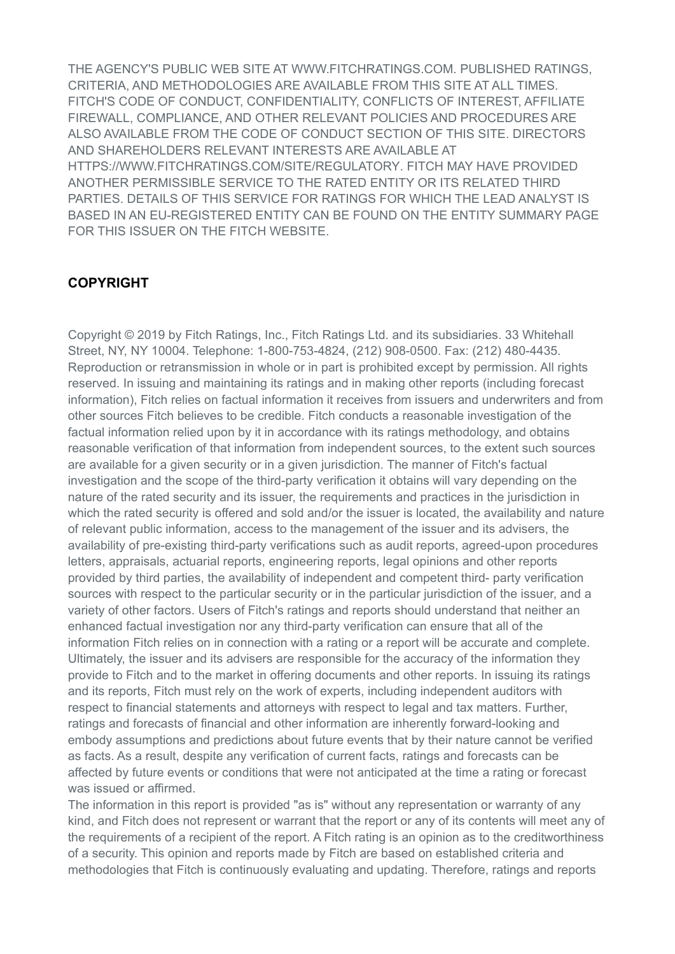THE AGENCY'S PUBLIC WEB SITE AT WWW.FITCHRATINGS.COM. PUBLISHED RATINGS, CRITERIA, AND METHODOLOGIES ARE AVAILABLE FROM THIS SITE AT ALL TIMES. FITCH'S CODE OF CONDUCT, CONFIDENTIALITY, CONFLICTS OF INTEREST, AFFILIATE FIREWALL, COMPLIANCE, AND OTHER RELEVANT POLICIES AND PROCEDURES ARE ALSO AVAILABLE FROM THE CODE OF CONDUCT SECTION OF THIS SITE. DIRECTORS AND SHAREHOLDERS RELEVANT INTERESTS ARE AVAILABLE AT HTTPS://WWW.FITCHRATINGS.COM/SITE/REGULATORY. FITCH MAY HAVE PROVIDED ANOTHER PERMISSIBLE SERVICE TO THE RATED ENTITY OR ITS RELATED THIRD PARTIES. DETAILS OF THIS SERVICE FOR RATINGS FOR WHICH THE LEAD ANALYST IS BASED IN AN EU-REGISTERED ENTITY CAN BE FOUND ON THE ENTITY SUMMARY PAGE FOR THIS ISSUER ON THE FITCH WEBSITE.

#### **COPYRIGHT**

Copyright © 2019 by Fitch Ratings, Inc., Fitch Ratings Ltd. and its subsidiaries. 33 Whitehall Street, NY, NY 10004. Telephone: 1-800-753-4824, (212) 908-0500. Fax: (212) 480-4435. Reproduction or retransmission in whole or in part is prohibited except by permission. All rights reserved. In issuing and maintaining its ratings and in making other reports (including forecast information), Fitch relies on factual information it receives from issuers and underwriters and from other sources Fitch believes to be credible. Fitch conducts a reasonable investigation of the factual information relied upon by it in accordance with its ratings methodology, and obtains reasonable verification of that information from independent sources, to the extent such sources are available for a given security or in a given jurisdiction. The manner of Fitch's factual investigation and the scope of the third-party verification it obtains will vary depending on the nature of the rated security and its issuer, the requirements and practices in the jurisdiction in which the rated security is offered and sold and/or the issuer is located, the availability and nature of relevant public information, access to the management of the issuer and its advisers, the availability of pre-existing third-party verifications such as audit reports, agreed-upon procedures letters, appraisals, actuarial reports, engineering reports, legal opinions and other reports provided by third parties, the availability of independent and competent third- party verification sources with respect to the particular security or in the particular jurisdiction of the issuer, and a variety of other factors. Users of Fitch's ratings and reports should understand that neither an enhanced factual investigation nor any third-party verification can ensure that all of the information Fitch relies on in connection with a rating or a report will be accurate and complete. Ultimately, the issuer and its advisers are responsible for the accuracy of the information they provide to Fitch and to the market in offering documents and other reports. In issuing its ratings and its reports, Fitch must rely on the work of experts, including independent auditors with respect to financial statements and attorneys with respect to legal and tax matters. Further, ratings and forecasts of financial and other information are inherently forward-looking and embody assumptions and predictions about future events that by their nature cannot be verified as facts. As a result, despite any verification of current facts, ratings and forecasts can be affected by future events or conditions that were not anticipated at the time a rating or forecast was issued or affirmed.

The information in this report is provided "as is" without any representation or warranty of any kind, and Fitch does not represent or warrant that the report or any of its contents will meet any of the requirements of a recipient of the report. A Fitch rating is an opinion as to the creditworthiness of a security. This opinion and reports made by Fitch are based on established criteria and methodologies that Fitch is continuously evaluating and updating. Therefore, ratings and reports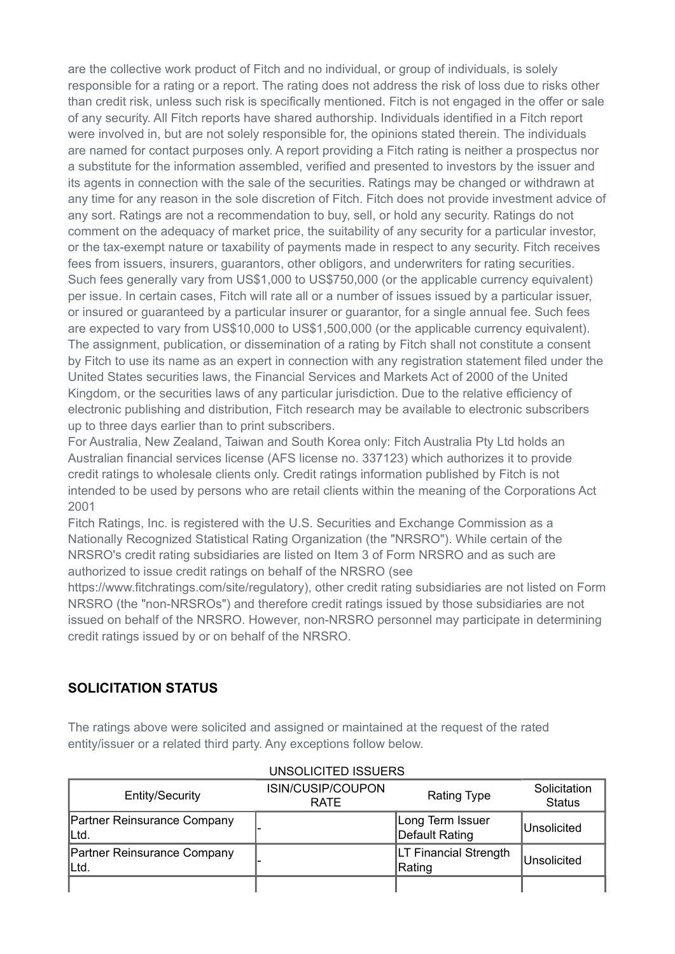are the collective work product of Fitch and no individual, or group of individuals, is solely responsible for a rating or a report. The rating does not address the risk of loss due to risks other than credit risk, unless such risk is specifically mentioned. Fitch is not engaged in the offer or sale of any security. All Fitch reports have shared authorship. Individuals identified in a Fitch report were involved in, but are not solely responsible for, the opinions stated therein. The individuals are named for contact purposes only. A report providing a Fitch rating is neither a prospectus nor a substitute for the information assembled, verified and presented to investors by the issuer and its agents in connection with the sale of the securities. Ratings may be changed or withdrawn at any time for any reason in the sole discretion of Fitch. Fitch does not provide investment advice of any sort. Ratings are not a recommendation to buy, sell, or hold any security. Ratings do not comment on the adequacy of market price, the suitability of any security for a particular investor, or the tax-exempt nature or taxability of payments made in respect to any security. Fitch receives fees from issuers, insurers, guarantors, other obligors, and underwriters for rating securities. Such fees generally vary from US\$1,000 to US\$750,000 (or the applicable currency equivalent) per issue. In certain cases, Fitch will rate all or a number of issues issued by a particular issuer, or insured or guaranteed by a particular insurer or guarantor, for a single annual fee. Such fees are expected to vary from US\$10,000 to US\$1,500,000 (or the applicable currency equivalent). The assignment, publication, or dissemination of a rating by Fitch shall not constitute a consent by Fitch to use its name as an expert in connection with any registration statement filed under the United States securities laws, the Financial Services and Markets Act of 2000 of the United Kingdom, or the securities laws of any particular jurisdiction. Due to the relative efficiency of electronic publishing and distribution, Fitch research may be available to electronic subscribers up to three days earlier than to print subscribers.

For Australia, New Zealand, Taiwan and South Korea only: Fitch Australia Pty Ltd holds an Australian financial services license (AFS license no. 337123) which authorizes it to provide credit ratings to wholesale clients only. Credit ratings information published by Fitch is not intended to be used by persons who are retail clients within the meaning of the Corporations Act 2001

Fitch Ratings, Inc. is registered with the U.S. Securities and Exchange Commission as a Nationally Recognized Statistical Rating Organization (the "NRSRO"). While certain of the NRSRO's credit rating subsidiaries are listed on Item 3 of Form NRSRO and as such are authorized to issue credit ratings on behalf of the NRSRO (see

https://www.fitchratings.com/site/regulatory), other credit rating subsidiaries are not listed on Form NRSRO (the "non-NRSROs") and therefore credit ratings issued by those subsidiaries are not issued on behalf of the NRSRO. However, non-NRSRO personnel may participate in determining credit ratings issued by or on behalf of the NRSRO.

# **SOLICITATION STATUS**

The ratings above were solicited and assigned or maintained at the request of the rated entity/issuer or a related third party. Any exceptions follow below.

| UNSOLICITED ISSUERS                  |                                  |                                    |                               |  |  |
|--------------------------------------|----------------------------------|------------------------------------|-------------------------------|--|--|
| Entity/Security                      | ISIN/CUSIP/COUPON<br><b>RATE</b> | <b>Rating Type</b>                 | Solicitation<br><b>Status</b> |  |  |
| Partner Reinsurance Company<br>Ltd.  |                                  | Long Term Issuer<br>Default Rating | Unsolicited                   |  |  |
| Partner Reinsurance Company<br>∥Ltd. |                                  | LT Financial Strength<br>Rating    | Unsolicited                   |  |  |
|                                      |                                  |                                    |                               |  |  |